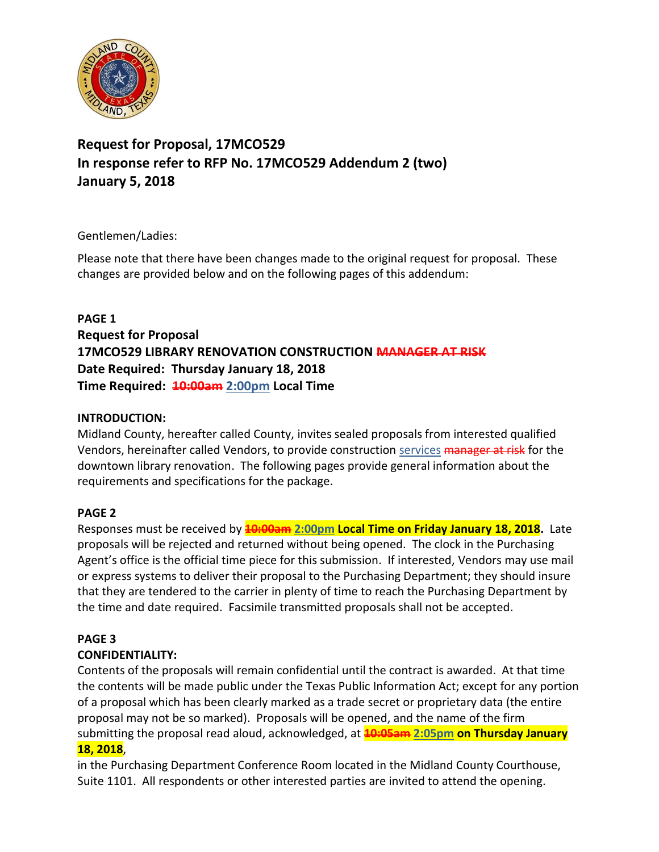

# **Request for Proposal, 17MCO529 In response refer to RFP No. 17MCO529 Addendum 2 (two) January 5, 2018**

### Gentlemen/Ladies:

Please note that there have been changes made to the original request for proposal. These changes are provided below and on the following pages of this addendum:

**PAGE 1 Request for Proposal 17MCO529 LIBRARY RENOVATION CONSTRUCTION MANAGER AT RISK Date Required: Thursday January 18, 2018 Time Required: 10:00am 2:00pm Local Time**

### **INTRODUCTION:**

Midland County, hereafter called County, invites sealed proposals from interested qualified Vendors, hereinafter called Vendors, to provide construction services manager at risk for the downtown library renovation. The following pages provide general information about the requirements and specifications for the package.

# **PAGE 2**

Responses must be received by **10:00am 2:00pm Local Time on Friday January 18, 2018.** Late proposals will be rejected and returned without being opened. The clock in the Purchasing Agent's office is the official time piece for this submission. If interested, Vendors may use mail or express systems to deliver their proposal to the Purchasing Department; they should insure that they are tendered to the carrier in plenty of time to reach the Purchasing Department by the time and date required. Facsimile transmitted proposals shall not be accepted.

# **PAGE 3**

# **CONFIDENTIALITY:**

Contents of the proposals will remain confidential until the contract is awarded. At that time the contents will be made public under the Texas Public Information Act; except for any portion of a proposal which has been clearly marked as a trade secret or proprietary data (the entire proposal may not be so marked). Proposals will be opened, and the name of the firm submitting the proposal read aloud, acknowledged, at **10:05am 2:05pm on Thursday January 18, 2018**,

in the Purchasing Department Conference Room located in the Midland County Courthouse, Suite 1101. All respondents or other interested parties are invited to attend the opening.